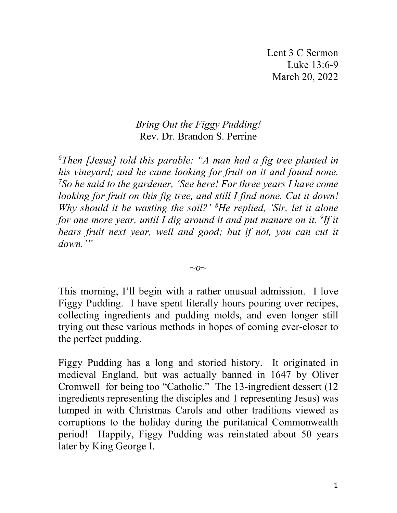## *Bring Out the Figgy Pudding!* Rev. Dr. Brandon S. Perrine

*6 Then [Jesus] told this parable: "A man had a fig tree planted in his vineyard; and he came looking for fruit on it and found none. 7 So he said to the gardener, 'See here! For three years I have come looking for fruit on this fig tree, and still I find none. Cut it down! Why should it be wasting the soil?' 8 He replied, 'Sir, let it alone*  for one more year, until I dig around it and put manure on it. <sup>9</sup>If it *bears fruit next year, well and good; but if not, you can cut it down.'"*

*~o~*

This morning, I'll begin with a rather unusual admission. I love Figgy Pudding. I have spent literally hours pouring over recipes, collecting ingredients and pudding molds, and even longer still trying out these various methods in hopes of coming ever-closer to the perfect pudding.

Figgy Pudding has a long and storied history. It originated in medieval England, but was actually banned in 1647 by Oliver Cromwell for being too "Catholic." The 13-ingredient dessert (12 ingredients representing the disciples and 1 representing Jesus) was lumped in with Christmas Carols and other traditions viewed as corruptions to the holiday during the puritanical Commonwealth period! Happily, Figgy Pudding was reinstated about 50 years later by King George I.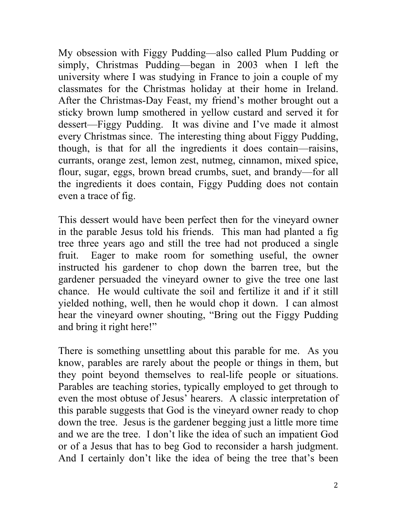My obsession with Figgy Pudding—also called Plum Pudding or simply, Christmas Pudding—began in 2003 when I left the university where I was studying in France to join a couple of my classmates for the Christmas holiday at their home in Ireland. After the Christmas-Day Feast, my friend's mother brought out a sticky brown lump smothered in yellow custard and served it for dessert—Figgy Pudding. It was divine and I've made it almost every Christmas since. The interesting thing about Figgy Pudding, though, is that for all the ingredients it does contain—raisins, currants, orange zest, lemon zest, nutmeg, cinnamon, mixed spice, flour, sugar, eggs, brown bread crumbs, suet, and brandy—for all the ingredients it does contain, Figgy Pudding does not contain even a trace of fig.

This dessert would have been perfect then for the vineyard owner in the parable Jesus told his friends. This man had planted a fig tree three years ago and still the tree had not produced a single fruit. Eager to make room for something useful, the owner instructed his gardener to chop down the barren tree, but the gardener persuaded the vineyard owner to give the tree one last chance. He would cultivate the soil and fertilize it and if it still yielded nothing, well, then he would chop it down. I can almost hear the vineyard owner shouting, "Bring out the Figgy Pudding and bring it right here!"

There is something unsettling about this parable for me. As you know, parables are rarely about the people or things in them, but they point beyond themselves to real-life people or situations. Parables are teaching stories, typically employed to get through to even the most obtuse of Jesus' hearers. A classic interpretation of this parable suggests that God is the vineyard owner ready to chop down the tree. Jesus is the gardener begging just a little more time and we are the tree. I don't like the idea of such an impatient God or of a Jesus that has to beg God to reconsider a harsh judgment. And I certainly don't like the idea of being the tree that's been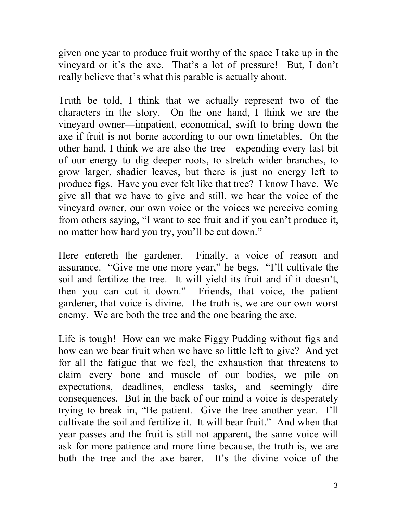given one year to produce fruit worthy of the space I take up in the vineyard or it's the axe. That's a lot of pressure! But, I don't really believe that's what this parable is actually about.

Truth be told, I think that we actually represent two of the characters in the story. On the one hand, I think we are the vineyard owner—impatient, economical, swift to bring down the axe if fruit is not borne according to our own timetables. On the other hand, I think we are also the tree—expending every last bit of our energy to dig deeper roots, to stretch wider branches, to grow larger, shadier leaves, but there is just no energy left to produce figs. Have you ever felt like that tree? I know I have. We give all that we have to give and still, we hear the voice of the vineyard owner, our own voice or the voices we perceive coming from others saying, "I want to see fruit and if you can't produce it, no matter how hard you try, you'll be cut down."

Here entereth the gardener. Finally, a voice of reason and assurance. "Give me one more year," he begs. "I'll cultivate the soil and fertilize the tree. It will yield its fruit and if it doesn't, then you can cut it down." Friends, that voice, the patient gardener, that voice is divine. The truth is, we are our own worst enemy. We are both the tree and the one bearing the axe.

Life is tough! How can we make Figgy Pudding without figs and how can we bear fruit when we have so little left to give? And yet for all the fatigue that we feel, the exhaustion that threatens to claim every bone and muscle of our bodies, we pile on expectations, deadlines, endless tasks, and seemingly dire consequences. But in the back of our mind a voice is desperately trying to break in, "Be patient. Give the tree another year. I'll cultivate the soil and fertilize it. It will bear fruit." And when that year passes and the fruit is still not apparent, the same voice will ask for more patience and more time because, the truth is, we are both the tree and the axe barer. It's the divine voice of the